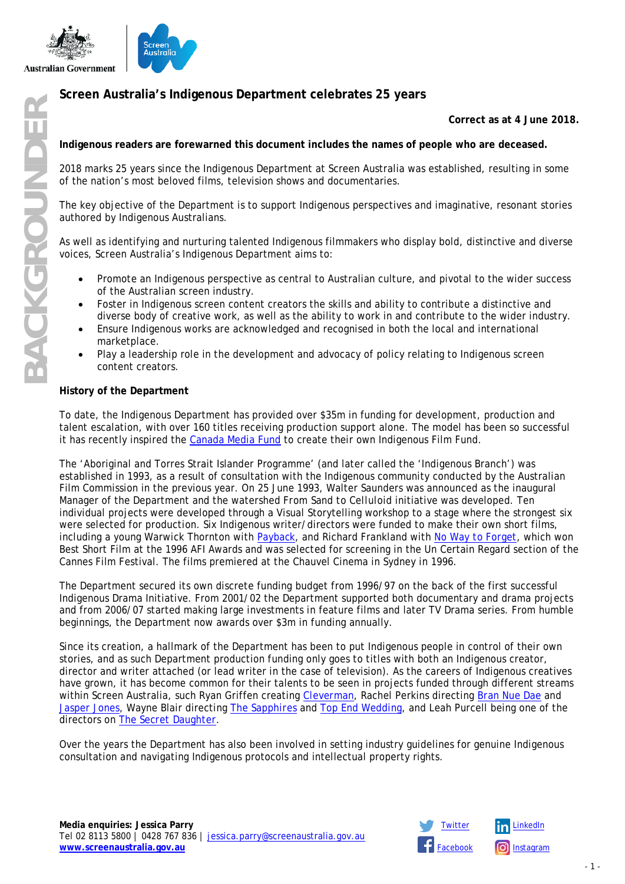

# **Screen Australia's Indigenous Department celebrates 25 years**

### **Correct as at 4 June 2018.**

**Indigenous readers are forewarned this document includes the names of people who are deceased.**

2018 marks 25 years since the Indigenous Department at Screen Australia was established, resulting in some of the nation's most beloved films, television shows and documentaries.

The key objective of the Department is to support Indigenous perspectives and imaginative, resonant stories authored by Indigenous Australians.

As well as identifying and nurturing talented Indigenous filmmakers who display bold, distinctive and diverse voices, Screen Australia's Indigenous Department aims to:

- Promote an Indigenous perspective as central to Australian culture, and pivotal to the wider success of the Australian screen industry.
- Foster in Indigenous screen content creators the skills and ability to contribute a distinctive and diverse body of creative work, as well as the ability to work in and contribute to the wider industry.
- Ensure Indigenous works are acknowledged and recognised in both the local and international marketplace.
- Play a leadership role in the development and advocacy of policy relating to Indigenous screen content creators.

#### **History of the Department**

To date, the Indigenous Department has provided over \$35m in funding for development, production and talent escalation, with over 160 titles receiving production support alone. The model has been so successful it has recently inspired the [Canada Media Fund](https://onscreenmanitoba.com/cmf-releases-report-development-of-indigenous-screen-based-industry/?doing_wp_cron=1525762188.1693460941314697265625) to create their own Indigenous Film Fund.

The 'Aboriginal and Torres Strait Islander Programme' (and later called the 'Indigenous Branch') was established in 1993, as a result of consultation with the Indigenous community conducted by the Australian Film Commission in the previous year. On 25 June 1993, Walter Saunders was announced as the inaugural Manager of the Department and the watershed *From Sand to Celluloid* initiative was developed. Ten individual projects were developed through a Visual Storytelling workshop to a stage where the strongest six were selected for production. Six Indigenous writer/directors were funded to make their own short films, including a young Warwick Thornton with *[Payback](https://www.screenaustralia.gov.au/the-screen-guide/t/payback-1996/9338)*, and Richard Frankland with *[No Way to Forget](https://www.screenaustralia.gov.au/the-screen-guide/t/no-way-to-forget-1996/9352)*, which won Best Short Film at the 1996 AFI Awards and was selected for screening in the Un Certain Regard section of the Cannes Film Festival. The films premiered at the Chauvel Cinema in Sydney in 1996.

The Department secured its own discrete funding budget from 1996/97 on the back of the first successful Indigenous Drama Initiative. From 2001/02 the Department supported both documentary and drama projects and from 2006/07 started making large investments in feature films and later TV Drama series. From humble beginnings, the Department now awards over \$3m in funding annually.

Since its creation, a hallmark of the Department has been to put Indigenous people in control of their own stories, and as such Department production funding only goes to titles with both an Indigenous creator, director and writer attached (or lead writer in the case of television). As the careers of Indigenous creatives have grown, it has become common for their talents to be seen in projects funded through different streams within Screen Australia, such Ryan Griffen creating *[Cleverman](https://www.screenaustralia.gov.au/the-screen-guide/t/cleverman-series-1-2016/28737)*, Rachel Perkins directing *[Bran Nue Dae](https://www.screenaustralia.gov.au/the-screen-guide/t/bran-nue-dae-2010/23843)* and *[Jasper Jones](https://www.screenaustralia.gov.au/the-screen-guide/t/jasper-jones-2017/31448)*, Wayne Blair directing *[The Sapphires](https://www.screenaustralia.gov.au/the-screen-guide/t/the-sapphires-2012/21553)* and *[Top End Wedding](https://www.screenaustralia.gov.au/the-screen-guide/t/top-end-wedding-2018/36110)*, and Leah Purcell being one of the directors on *The [Secret Daughter](https://www.screenaustralia.gov.au/the-screen-guide/t/the-secret-daughter-2017/35583)*.

Over the years the Department has also been involved in setting industry guidelines for genuine Indigenous consultation and navigating Indigenous protocols and intellectual property rights.



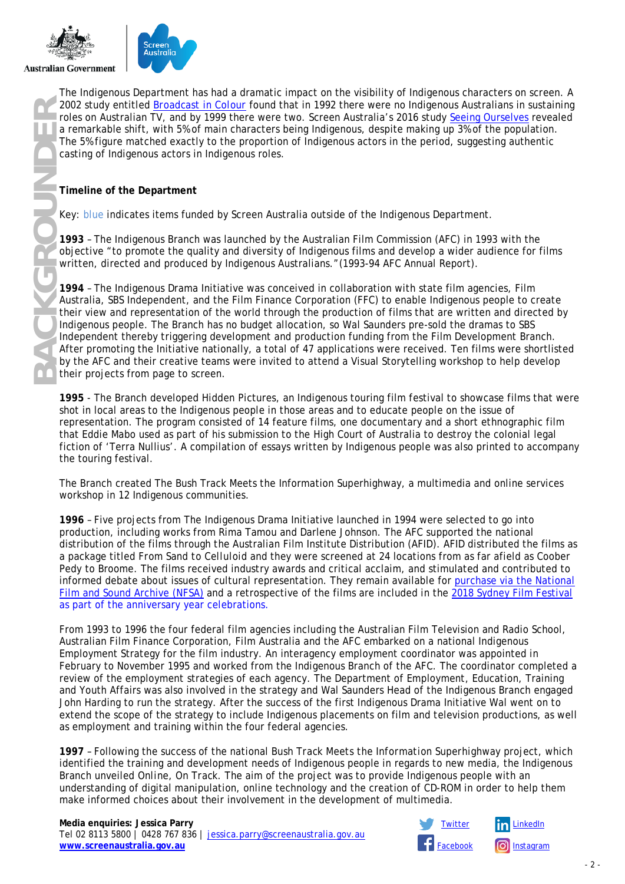



The Indigenous Department has had a dramatic impact on the visibility of Indigenous characters on screen. A 2002 study entitled *[Broadcast in Colour](http://afcarchive.screenaustralia.gov.au/downloads/policies/broadcast_colour.pdf)* found that in 1992 there were no Indigenous Australians in sustaining roles on Australian TV, and by 1999 there were two. Screen Australia's 2016 study [Seeing Ourselves](https://www.screenaustralia.gov.au/sa/media-centre/news/2016/08-24-study-of-diversity-on-tv-released) revealed a remarkable shift, with 5% of main characters being Indigenous, despite making up 3% of the population. The 5% figure matched exactly to the proportion of Indigenous actors in the period, suggesting authentic casting of Indigenous actors in Indigenous roles.

## **Timeline of the Department**

Key: blue indicates items funded by Screen Australia outside of the Indigenous Department.

**1993** – The Indigenous Branch was launched by the Australian Film Commission (AFC) in 1993 with the objective "to promote the quality and diversity of Indigenous films and develop a wider audience for films written, directed and produced by Indigenous Australians."(1993-94 AFC Annual Report).

**1994** – The Indigenous Drama Initiative was conceived in collaboration with state film agencies, Film Australia, SBS Independent, and the Film Finance Corporation (FFC) to enable Indigenous people to create their view and representation of the world through the production of films that are written and directed by Indigenous people. The Branch has no budget allocation, so Wal Saunders pre-sold the dramas to SBS Independent thereby triggering development and production funding from the Film Development Branch. After promoting the Initiative nationally, a total of 47 applications were received. Ten films were shortlisted by the AFC and their creative teams were invited to attend a Visual Storytelling workshop to help develop their projects from page to screen.

**1995** - The Branch developed Hidden Pictures, an Indigenous touring film festival to showcase films that were shot in local areas to the Indigenous people in those areas and to educate people on the issue of representation. The program consisted of 14 feature films, one documentary and a short ethnographic film that Eddie Mabo used as part of his submission to the High Court of Australia to destroy the colonial legal fiction of 'Terra Nullius'. A compilation of essays written by Indigenous people was also printed to accompany the touring festival.

The Branch created The Bush Track Meets the Information Superhighway, a multimedia and online services workshop in 12 Indigenous communities.

**1996** – Five projects from The Indigenous Drama Initiative launched in 1994 were selected to go into production, including works from Rima Tamou and Darlene Johnson. The AFC supported the national distribution of the films through the Australian Film Institute Distribution (AFID). AFID distributed the films as a package titled *From Sand to Celluloid* and they were screened at 24 locations from as far afield as Coober Pedy to Broome. The films received industry awards and critical acclaim, and stimulated and contributed to informed debate about issues of cultural representation. They remain available for [purchase via the National](mailto:http://shop.nfsa.gov.au/from-sand-to-celluloid)  [Film and Sound Archive \(NFSA\)](mailto:http://shop.nfsa.gov.au/from-sand-to-celluloid) and a retrospective of the films are included in the [2018 Sydney Film Festival](https://www.screenaustralia.gov.au/sa/media-centre/news/2018/05-09-sydney-film-festival-25-years-indigenous)  as part of the [anniversary year celebrations.](https://www.screenaustralia.gov.au/sa/media-centre/news/2018/05-09-sydney-film-festival-25-years-indigenous)

From 1993 to 1996 the four federal film agencies including the Australian Film Television and Radio School, Australian Film Finance Corporation, Film Australia and the AFC embarked on a national Indigenous Employment Strategy for the film industry. An interagency employment coordinator was appointed in February to November 1995 and worked from the Indigenous Branch of the AFC. The coordinator completed a review of the employment strategies of each agency. The Department of Employment, Education, Training and Youth Affairs was also involved in the strategy and Wal Saunders Head of the Indigenous Branch engaged John Harding to run the strategy. After the success of the first Indigenous Drama Initiative Wal went on to extend the scope of the strategy to include Indigenous placements on film and television productions, as well as employment and training within the four federal agencies.

**1997** – Following the success of the national *Bush Track Meets the Information Superhighway* project, which identified the training and development needs of Indigenous people in regards to new media, the Indigenous Branch unveiled *Online, On Track*. The aim of the project was to provide Indigenous people with an understanding of digital manipulation, online technology and the creation of CD-ROM in order to help them make informed choices about their involvement in the development of multimedia.



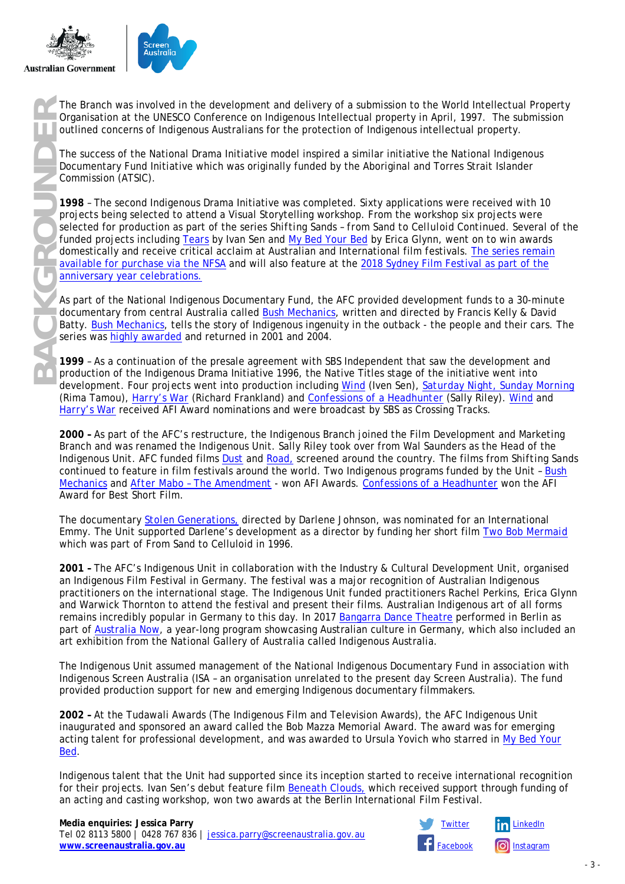



Organisation at the UNESCO Conference on Indigenous Intellectual property in April, 1997. The submission outlined concerns of Indigenous Australians for the protection of Indigenous intellectual property.

The success of the National Drama Initiative model inspired a similar initiative the National Indigenous Documentary Fund Initiative which was originally funded by the Aboriginal and Torres Strait Islander Commission (ATSIC).

The Branch was involved in the development and delivery of a submission to the World Intellectual Property<br> **BACKGROUNDERTHET CONTECT CONTECT CONTECT CONTECT CONTECT CONTECT CONTECT CONTECT CONTECT CONTECT CONTECT CONTECT 1998** – The second Indigenous Drama Initiative was completed. Sixty applications were received with 10 projects being selected to attend a Visual Storytelling workshop. From the workshop six projects were selected for production as part of the series *Shifting Sands – from Sand to Celluloid Continued*. Several of the funded projects including *[Tears](https://www.screenaustralia.gov.au/the-screen-guide/t/tears-1998/12530)* by Ivan Sen and *[My Bed Your Bed](https://www.screenaustralia.gov.au/the-screen-guide/t/my-bed-your-bed-1998/12549)* by Erica Glynn, went on to win awards domestically and receive critical acclaim at Australian and International film festivals. [The series remain](http://shop.nfsa.gov.au/shifting-sands)  [available for purchase via the NFSA](http://shop.nfsa.gov.au/shifting-sands) and will also feature at the 2018 Sydney Film Festival as part of the [anniversary year celebrations.](https://www.screenaustralia.gov.au/sa/media-centre/news/2018/05-09-sydney-film-festival-25-years-indigenous)

As part of the National Indigenous Documentary Fund, the AFC provided development funds to a 30-minute documentary from central Australia called *[Bush Mechanics,](https://www.screenaustralia.gov.au/the-screen-guide/t/bush-mechanics-1998/14230)* written and directed by Francis Kelly & David Batty. *[Bush Mechanics](https://www.screenaustralia.gov.au/the-screen-guide/t/bush-mechanics-1998/14230)*, tells the story of Indigenous ingenuity in the outback - the people and their cars. The series was [highly awarded](https://www.screenaustralia.gov.au/the-screen-guide/t/bush-mechanics-1998/14230?stxt=bush%20mechanics) and returned in 2001 and 2004.

**1999** – As a continuation of the presale agreement with SBS Independent that saw the development and production of the Indigenous Drama Initiative 1996, the Native Titles stage of the initiative went into development. Four projects went into production including *[Wind](https://www.screenaustralia.gov.au/the-screen-guide/t/wind-1999/12501)* (Iven Sen), *[Saturday Night, Sunday Morning](https://www.screenaustralia.gov.au/the-screen-guide/t/saturday-night,-sunday-morning-1999/14563)* (Rima Tamou), *[Harry's War](https://www.screenaustralia.gov.au/the-screen-guide/t/harrys-war-1999/12495)* (Richard Frankland) and *[Confessions of a Headhunter](https://www.screenaustralia.gov.au/the-screen-guide/t/confessions-of-a-headhunter-2000/15906/)* (Sally Riley). *[Wind](https://www.screenaustralia.gov.au/the-screen-guide/t/wind-1999/12501)* and *[Harry's War](https://www.screenaustralia.gov.au/the-screen-guide/t/harrys-war-1999/12495)* received AFI Award nominations and were broadcast by SBS as Crossing Tracks.

**2000 –** As part of the AFC's restructure, the Indigenous Branch joined the Film Development and Marketing Branch and was renamed the Indigenous Unit. Sally Riley took over from Wal Saunders as the Head of the Indigenous Unit. AFC funded films *[Dust](https://www.screenaustralia.gov.au/the-screen-guide/t/dust-1999/16102)* and *[Road,](https://www.screenaustralia.gov.au/the-screen-guide/t/road-2000/15889)* screened around the country. The films from *Shifting Sands* continued to feature in film festivals around the world. Two Indigenous programs funded by the Unit – *[Bush](https://www.screenaustralia.gov.au/the-screen-guide/t/bush-mechanics-1998/14230)  [Mechanics](https://www.screenaustralia.gov.au/the-screen-guide/t/bush-mechanics-1998/14230)* and *After Mabo – [The Amendment](https://www.screenaustralia.gov.au/the-screen-guide/t/after-mabo-1997/12577) -* won AFI Awards. *[Confessions of a Headhunter](https://www.screenaustralia.gov.au/the-screen-guide/t/confessions-of-a-headhunter-2000/15906/)* won the AFI Award for Best Short Film.

The documentary *[Stolen Generations,](https://www.screenaustralia.gov.au/the-screen-guide/t/stolen-generations-2000/13645)* directed by Darlene Johnson, was nominated for an International Emmy. The Unit supported Darlene's development as a director by funding her short film *[Two Bob Mermaid](https://www.screenaustralia.gov.au/the-screen-guide/t/two-bob-mermaid-1996/8680)* which was part of From Sand to Celluloid in 1996.

**2001 –** The AFC's Indigenous Unit in collaboration with the Industry & Cultural Development Unit, organised an Indigenous Film Festival in Germany. The festival was a major recognition of Australian Indigenous practitioners on the international stage. The Indigenous Unit funded practitioners Rachel Perkins, Erica Glynn and Warwick Thornton to attend the festival and present their films. Australian Indigenous art of all forms remains incredibly popular in Germany to this day. In 2017 [Bangarra](https://www.bangarra.com.au/) Dance Theatre performed in Berlin as part of [Australia Now,](http://australianow2017.de/index.php/main/item/4-made-in-australia-berlin-glass) a year-long program showcasing Australian culture in Germany, which also included an art exhibition from the National Gallery of Australia called Indigenous Australia.

The Indigenous Unit assumed management of the National Indigenous Documentary Fund in association with Indigenous Screen Australia (ISA – an organisation unrelated to the present day Screen Australia). The fund provided production support for new and emerging Indigenous documentary filmmakers.

**2002 –** At the Tudawali Awards (The Indigenous Film and Television Awards), the AFC Indigenous Unit inaugurated and sponsored an award called the Bob Mazza Memorial Award. The award was for emerging acting talent for professional development, and was awarded to Ursula Yovich who starred in *[My Bed Your](https://www.screenaustralia.gov.au/the-screen-guide/t/my-bed-your-bed-1998/12549)  [Bed](https://www.screenaustralia.gov.au/the-screen-guide/t/my-bed-your-bed-1998/12549)*.

Indigenous talent that the Unit had supported since its inception started to receive international recognition for their projects. Ivan Sen's debut feature film *[Beneath Clouds,](https://www.screenaustralia.gov.au/the-screen-guide/t/beneath-clouds-2002/14990)* which received support through funding of an acting and casting workshop, won two awards at the Berlin International Film Festival.



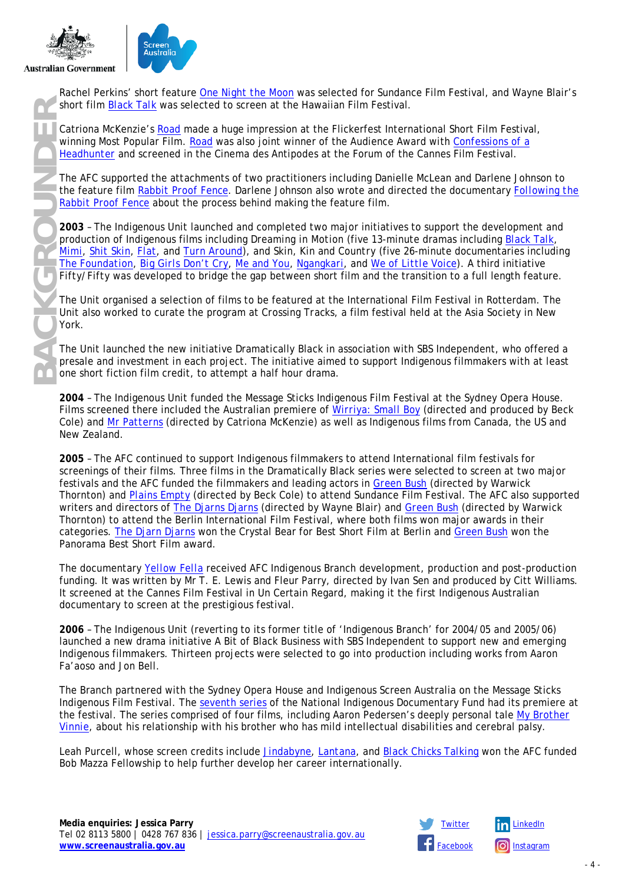



Rachel Perkins' short feature *[One Night the Moon](https://www.screenaustralia.gov.au/the-screen-guide/t/one-night-the-moon-2001/15899)* was selected for Sundance Film Festival, and Wayne Blair's short film *[Black Talk](https://www.screenaustralia.gov.au/the-screen-guide/t/black-talk-2002/17108)* was selected to screen at the Hawaiian Film Festival.

Catriona McKenzie's *[Road](https://www.screenaustralia.gov.au/the-screen-guide/t/road-2000/15889)* made a huge impression at the Flickerfest International Short Film Festival, winning Most Popular Film. *[Road](https://www.screenaustralia.gov.au/the-screen-guide/t/road-2000/15889)* was also joint winner of the Audience Award with *[Confessions of a](https://www.screenaustralia.gov.au/the-screen-guide/t/confessions-of-a-headhunter-2000/15906)  [Headhunter](https://www.screenaustralia.gov.au/the-screen-guide/t/confessions-of-a-headhunter-2000/15906)* and screened in the Cinema des Antipodes at the Forum of the Cannes Film Festival.

The AFC supported the attachments of two practitioners including Danielle McLean and Darlene Johnson to the feature film *[Rabbit Proof Fence](https://www.screenaustralia.gov.au/the-screen-guide/t/rabbit-proof-fence-2002/14493)*. Darlene Johnson also wrote and directed the documentary *[Following the](https://www.screenaustralia.gov.au/the-screen-guide/t/following-the-rabbit-proof-fence-2002/18450?stxt=following%20the%20rabbit%20proof%20fence)  [Rabbit Proof Fence](https://www.screenaustralia.gov.au/the-screen-guide/t/following-the-rabbit-proof-fence-2002/18450?stxt=following%20the%20rabbit%20proof%20fence)* about the process behind making the feature film.

**2003** – The Indigenous Unit launched and completed two major initiatives to support the development and production of Indigenous films including *Dreaming in Motion* (five 13-minute dramas including *[Black Talk](https://www.screenaustralia.gov.au/the-screen-guide/t/black-talk-2002/17108)*, *[Mimi](https://www.screenaustralia.gov.au/the-screen-guide/t/mimi-2002/17129)*, *[Shit Skin](https://www.screenaustralia.gov.au/the-screen-guide/t/shit-skin-2002/17130)*, *[Flat](https://www.screenaustralia.gov.au/the-screen-guide/t/flat-2002/17131)*, and *[Turn Around](https://www.screenaustralia.gov.au/the-screen-guide/t/turn-around-2002/17132)*), and *Skin, Kin and Country* (five 26-minute documentaries including *[The Foundation](https://www.screenaustralia.gov.au/the-screen-guide/t/the-foundation-2002/17511)*, *[Big Girls Don't Cry](https://www.screenaustralia.gov.au/the-screen-guide/t/big-girls-dont-cry-2002/16047)*, *[Me and You](https://www.screenaustralia.gov.au/the-screen-guide/t/me-and-you-2002/17507)*, *[Ngangkari](https://www.screenaustralia.gov.au/the-screen-guide/t/ngangkari-2002/17095)*, and *[We of Little Voice](https://www.screenaustralia.gov.au/the-screen-guide/t/we-of-little-voice-2002/17508)*). A third initiative *Fifty/Fifty* was developed to bridge the gap between short film and the transition to a full length feature.

The Unit organised a selection of films to be featured at the International Film Festival in Rotterdam. The Unit also worked to curate the program at *Crossing Tracks*, a film festival held at the Asia Society in New York.

The Unit launched the new initiative Dramatically Black in association with SBS Independent, who offered a presale and investment in each project. The initiative aimed to support Indigenous filmmakers with at least one short fiction film credit, to attempt a half hour drama.

**2004** – The Indigenous Unit funded the Message Sticks Indigenous Film Festival at the Sydney Opera House. Films screened there included the Australian premiere of *[Wirriya: Small Boy](https://www.screenaustralia.gov.au/the-screen-guide/t/wirriya--small-boy-2004/19220)* (directed and produced by Beck Cole) and *[Mr Patterns](https://www.screenaustralia.gov.au/the-screen-guide/t/mr-patterns-2004/18902)* (directed by Catriona McKenzie) as well as Indigenous films from Canada, the US and New Zealand.

**2005** – The AFC continued to support Indigenous filmmakers to attend International film festivals for screenings of their films. Three films in the Dramatically Black series were selected to screen at two major festivals and the AFC funded the filmmakers and leading actors in *[Green Bush](https://www.screenaustralia.gov.au/the-screen-guide/t/green-bush-2004/19187)* (directed by Warwick Thornton) and *[Plains Empty](https://www.screenaustralia.gov.au/the-screen-guide/t/plains-empty-2004/19186)* (directed by Beck Cole) to attend Sundance Film Festival. The AFC also supported writers and directors of *[The Djarns Djarns](https://www.screenaustralia.gov.au/the-screen-guide/t/the-djarn-djarns-2004/19185)* (directed by Wayne Blair) and *[Green Bush](https://www.screenaustralia.gov.au/the-screen-guide/t/green-bush-2004/19187)* (directed by Warwick Thornton) to attend the Berlin International Film Festival, where both films won major awards in their categories. *[The Djarn Djarns](https://www.screenaustralia.gov.au/the-screen-guide/t/the-djarn-djarns-2004/19185)* won the Crystal Bear for Best Short Film at Berlin and *[Green Bush](https://www.screenaustralia.gov.au/the-screen-guide/t/green-bush-2004/19187)* won the Panorama Best Short Film award.

The documentary *[Yellow Fella](https://www.screenaustralia.gov.au/the-screen-guide/t/yellow-fella-2005/19930)* received AFC Indigenous Branch development, production and post-production funding. It was written by Mr T. E. Lewis and Fleur Parry, directed by Ivan Sen and produced by Citt Williams. It screened at the Cannes Film Festival in Un Certain Regard, making it the first Indigenous Australian documentary to screen at the prestigious festival.

**2006** – The Indigenous Unit (reverting to its former title of 'Indigenous Branch' for 2004/05 and 2005/06) launched a new drama initiative A Bit of Black Business with SBS Independent to support new and emerging Indigenous filmmakers. Thirteen projects were selected to go into production including works from Aaron Fa'aoso and Jon Bell.

The Branch partnered with the Sydney Opera House and Indigenous Screen Australia on the Message Sticks Indigenous Film Festival. The [seventh series](https://www.screenaustralia.gov.au/funding-and-support/indigenous/production/special-documentary-initiatives) of the National Indigenous Documentary Fund had its premiere at the festival. The series comprised of four films, including Aaron Pedersen's deeply personal tale *[My Brother](mailto:https://www.screenaustralia.gov.au/the-screen-guide/t/my-brother-vinnie-2006/22216?stxt=my%20brother%20vinnie)  [Vinnie](mailto:https://www.screenaustralia.gov.au/the-screen-guide/t/my-brother-vinnie-2006/22216?stxt=my%20brother%20vinnie)*, about his relationship with his brother who has mild intellectual disabilities and cerebral palsy.

Leah Purcell, whose screen credits include *[Jindabyne](https://www.screenaustralia.gov.au/the-screen-guide/t/jindabyne-2006/19540)*, *[Lantana](https://www.screenaustralia.gov.au/the-screen-guide/t/lantana-2001/15723)*, and *[Black Chicks Talking](https://www.screenaustralia.gov.au/the-screen-guide/t/black-chicks-talking-2002/16032)* won the AFC funded Bob Mazza Fellowship to help further develop her career internationally.

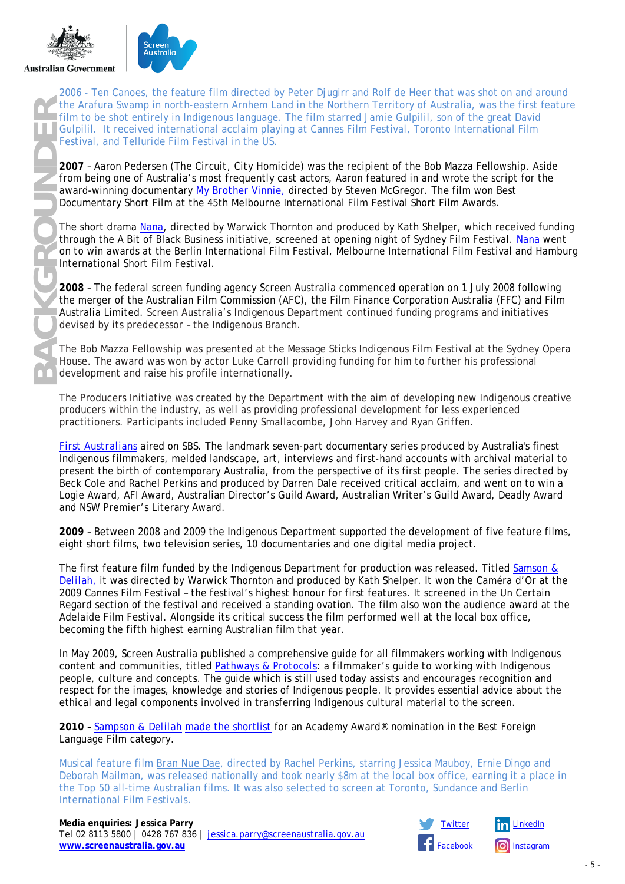



2006 - *[Ten Canoes](https://www.screenaustralia.gov.au/the-screen-guide/t/ten-canoes-2006/19397)*, the feature film directed by Peter Djugirr and Rolf de Heer that was shot on and around the Arafura Swamp in north-eastern Arnhem Land in the Northern Territory of Australia, was the first feature film to be shot entirely in Indigenous language. The film starred Jamie Gulpilil, son of the great David Gulpilil. It received international acclaim playing at Cannes Film Festival, Toronto International Film Festival, and Telluride Film Festival in the US.

**2007** – Aaron Pedersen (*The Circuit*, *City Homicide)* was the recipient of the Bob Mazza Fellowship. Aside from being one of Australia's most frequently cast actors, Aaron featured in and wrote the script for the award-winning documentary *[My Brother Vinnie,](https://www.screenaustralia.gov.au/the-screen-guide/t/my-brother-vinnie-2006/22216)* directed by Steven McGregor. The film won Best Documentary Short Film at the 45th Melbourne International Film Festival Short Film Awards.

The short drama *[Nana](https://www.screenaustralia.gov.au/the-screen-guide/t/nana-2007/23286)*, directed by Warwick Thornton and produced by Kath Shelper, which received funding through the A Bit of Black Business initiative, screened at opening night of Sydney Film Festival. *[Nana](https://www.screenaustralia.gov.au/the-screen-guide/t/nana-2007/23286)* went on to win awards at the Berlin International Film Festival, Melbourne International Film Festival and Hamburg International Short Film Festival.

**2008** – The federal screen funding agency Screen Australia commenced operation on 1 July 2008 following the merger of the Australian Film Commission (AFC), the Film Finance Corporation Australia (FFC) and Film Australia Limited. Screen Australia's Indigenous Department continued funding programs and initiatives devised by its predecessor – the Indigenous Branch.

The Bob Mazza Fellowship was presented at the Message Sticks Indigenous Film Festival at the Sydney Opera House. The award was won by actor Luke Carroll providing funding for him to further his professional development and raise his profile internationally.

The Producers Initiative was created by the Department with the aim of developing new Indigenous creative producers within the industry, as well as providing professional development for less experienced practitioners. Participants included Penny Smallacombe, John Harvey and Ryan Griffen.

*[First Australians](https://www.screenaustralia.gov.au/the-screen-guide/t/first-australians-2008/20228)* aired on SBS. The landmark seven-part documentary series produced by Australia's finest Indigenous filmmakers, melded landscape, art, interviews and first-hand accounts with archival material to present the birth of contemporary Australia, from the perspective of its first people. The series directed by Beck Cole and Rachel Perkins and produced by Darren Dale received critical acclaim, and went on to win a Logie Award, AFI Award, Australian Director's Guild Award, Australian Writer's Guild Award, Deadly Award and NSW Premier's Literary Award.

**2009** – Between 2008 and 2009 the Indigenous Department supported the development of five feature films, eight short films, two television series, 10 documentaries and one digital media project.

The first feature film funded by the Indigenous Department for production was released. Titled *[Samson &](https://www.screenaustralia.gov.au/the-screen-guide/t/samson---delilah-2009/20947)  [Delilah,](https://www.screenaustralia.gov.au/the-screen-guide/t/samson---delilah-2009/20947)* it was directed by Warwick Thornton and produced by Kath Shelper. It won the Caméra d'Or at the 2009 Cannes Film Festival – the festival's highest honour for first features. It screened in the Un Certain Regard section of the festival and received a standing ovation. The film also won the audience award at the Adelaide Film Festival. Alongside its critical success the film performed well at the local box office, becoming the fifth highest earning Australian film that year.

In May 2009, Screen Australia published a comprehensive guide for all filmmakers working with Indigenous content and communities, titled *[Pathways & Protocols:](https://www.screenaustralia.gov.au/about-us/doing-business-with-us/indigenous-content/indigenous-protocols) a filmmaker's guide to working with Indigenous people*, *culture and concepts*. The guide which is still used today assists and encourages recognition and respect for the images, knowledge and stories of Indigenous people. It provides essential advice about the ethical and legal components involved in transferring Indigenous cultural material to the screen.

**2010 –** *[Sampson & Delilah](https://www.screenaustralia.gov.au/the-screen-guide/t/samson---delilah-2009/20947)* [made the shortlist](mailto:https://www.smh.com.au/entertainment/samson-and-delilah-makes-oscar-short-list-20100121-mmb2.html) for an Academy Award® nomination in the Best Foreign Language Film category.

Musical feature film *[Bran Nue Dae](https://www.screenaustralia.gov.au/the-screen-guide/t/bran-nue-dae-2010/23843)*, directed by Rachel Perkins, starring Jessica Mauboy, Ernie Dingo and Deborah Mailman, was released nationally and took nearly \$8m at the local box office, earning it a place in the Top 50 all-time Australian films. It was also selected to screen at Toronto, Sundance and Berlin International Film Festivals.

#### **Media enquiries: Jessica Parry** [Twitter](http://twitter.com/ScreenAustralia) [LinkedIn](http://www.linkedin.com/company/screen-australia)

Tel 02 8113 5800 | 0428 767 836 | [jessica.parry@screenaustralia.gov.au](mailto:jessica.parry@screenaustralia.gov.au) **[www.screenaustralia.gov.au](http://www.screenaustralia.gov.au/)** 



- 5 -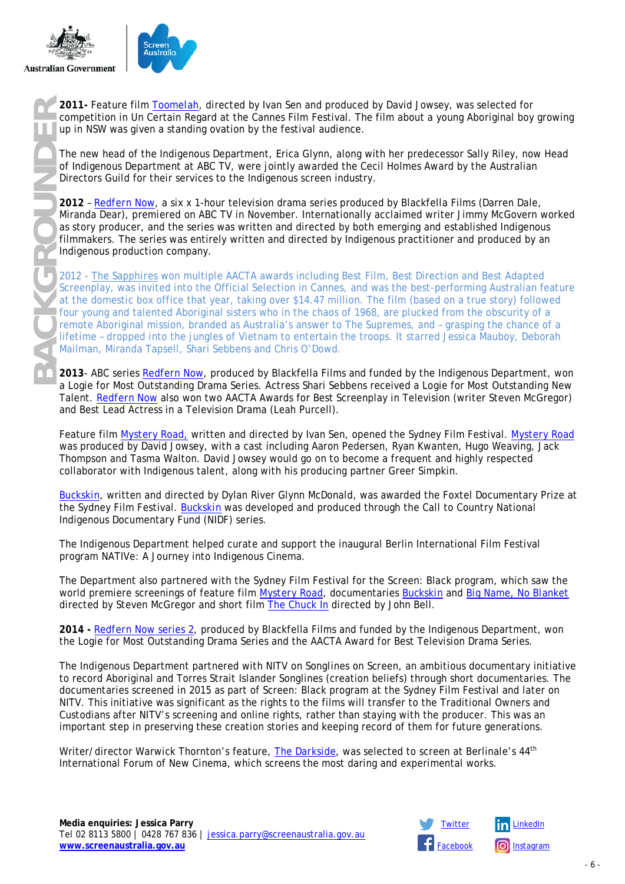



competition in Un Certain Regard at the Cannes Film Festival. The film about a young Aboriginal boy growing up in NSW was given a standing ovation by the festival audience.

The new head of the Indigenous Department, Erica Glynn, along with her predecessor Sally Riley, now Head of Indigenous Department at ABC TV, were jointly awarded the Cecil Holmes Award by the Australian Directors Guild for their services to the Indigenous screen industry.

**2012** – *[Redfern Now](https://www.screenaustralia.gov.au/the-screen-guide/t/redfern-now-2014/31265)*, a six x 1-hour television drama series produced by Blackfella Films (Darren Dale, Miranda Dear), premiered on ABC TV in November. Internationally acclaimed writer Jimmy McGovern worked as story producer, and the series was written and directed by both emerging and established Indigenous filmmakers. The series was entirely written and directed by Indigenous practitioner and produced by an Indigenous production company.

**BACK Send on the Competition in** *[Toomelah](https://www.screenaustralia.gov.au/the-screen-guide/t/toomelah-2011/28391)***, directed by lawns Film Festival. The film about a young Aboriginal boy<br>
up in NSW was given a standing ovation by the festival audience.<br>
The new head of the Indigenous Departm** 2012 - *[The Sapphires](https://www.screenaustralia.gov.au/the-screen-guide/t/the-sapphires-2012/21553)* won multiple AACTA awards including Best Film, Best Direction and Best Adapted Screenplay, was invited into the Official Selection in Cannes, and was the best-performing Australian feature at the domestic box office that year, taking over \$14.47 million. The film (based on a true story) followed four young and talented Aboriginal sisters who in the chaos of 1968, are plucked from the obscurity of a remote Aboriginal mission, branded as Australia's answer to The Supremes, and – grasping the chance of a lifetime – dropped into the jungles of Vietnam to entertain the troops. It starred Jessica Mauboy, Deborah Mailman, Miranda Tapsell, Shari Sebbens and Chris O'Dowd.

**2013**- ABC series *[Redfern Now](https://www.screenaustralia.gov.au/the-screen-guide/t/redfern-now-2014/31265)*, produced by Blackfella Films and funded by the Indigenous Department, won a Logie for Most Outstanding Drama Series. Actress Shari Sebbens received a Logie for Most Outstanding New Talent. *[Redfern Now](https://www.screenaustralia.gov.au/the-screen-guide/t/redfern-now-2014/31265)* also won two AACTA Awards for Best Screenplay in Television (writer Steven McGregor) and Best Lead Actress in a Television Drama (Leah Purcell).

Feature film *[Mystery Road,](https://www.screenaustralia.gov.au/the-screen-guide/t/mystery-road-2013/30409)* written and directed by Ivan Sen, opened the Sydney Film Festival. *[Mystery Road](https://www.screenaustralia.gov.au/the-screen-guide/t/mystery-road-2013/30409)* was produced by David Jowsey, with a cast including Aaron Pedersen, Ryan Kwanten, Hugo Weaving, Jack Thompson and Tasma Walton. David Jowsey would go on to become a frequent and highly respected collaborator with Indigenous talent, along with his producing partner Greer Simpkin.

*[Buckskin](https://www.screenaustralia.gov.au/the-screen-guide/t/buckskin-2013/31535)*, written and directed by Dylan River Glynn McDonald, was awarded the Foxtel Documentary Prize at the Sydney Film Festival. *[Buckskin](https://www.screenaustralia.gov.au/the-screen-guide/t/buckskin-2013/31535)* was developed and produced through the Call to Country National Indigenous Documentary Fund (NIDF) series.

The Indigenous Department helped curate and support the inaugural Berlin International Film Festival program NATIVe: A Journey into Indigenous Cinema.

The Department also partnered with the Sydney Film Festival for the Screen: Black program, which saw the world premiere screenings of feature film *[Mystery](https://www.screenaustralia.gov.au/the-screen-guide/t/mystery-road-2013/30409) Road*, documentaries *[Buckskin](https://www.screenaustralia.gov.au/the-screen-guide/t/buckskin-2013/31535)* and *Big Name*, *[No Blanket](https://www.screenaustralia.gov.au/the-screen-guide/t/big-name-no-blanket-2013/29617)* directed by Steven McGregor and short film *The Chuck In* directed by John Bell.

**2014 -** *[Redfern Now](https://www.screenaustralia.gov.au/the-screen-guide/t/redfern-now-series-2-2013/31243)* series 2, produced by Blackfella Films and funded by the Indigenous Department, won the Logie for Most Outstanding Drama Series and the AACTA Award for Best Television Drama Series.

The Indigenous Department partnered with NITV on *Songlines on Screen*, an ambitious documentary initiative to record Aboriginal and Torres Strait Islander Songlines (creation beliefs) through short documentaries. The documentaries screened in 2015 as part of Screen: Black program at the Sydney Film Festival and later on NITV. This initiative was significant as the rights to the films will transfer to the Traditional Owners and Custodians after NITV's screening and online rights, rather than staying with the producer. This was an important step in preserving these creation stories and keeping record of them for future generations.

Writer/director Warwick Thornton's feature, *[The Darkside](https://www.screenaustralia.gov.au/the-screen-guide/t/the-darkside-2013/31797)*, was selected to screen at Berlinale's 44th International Forum of New Cinema, which screens the most daring and experimental works.

Tel 02 8113 5800 | 0428 767 836 | [jessica.parry@screenaustralia.gov.au](mailto:jessica.parry@screenaustralia.gov.au)

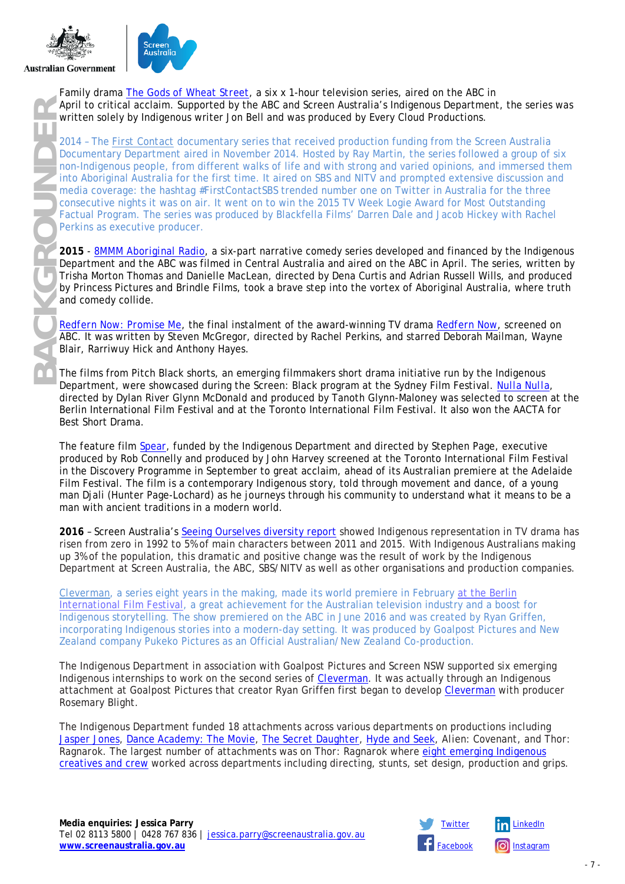



Family drama *[The Gods of Wheat Street](https://www.screenaustralia.gov.au/the-screen-guide/t/the-gods-of-wheat-street-2013/28062)*, a six x 1-hour television series, aired on the ABC in April to critical acclaim. Supported by the ABC and Screen Australia's Indigenous Department, the series was written solely by Indigenous writer Jon Bell and was produced by Every Cloud Productions.

2014 – The *[First Contact](https://www.screenaustralia.gov.au/the-screen-guide/t/first-contact-2016/34279)* documentary series that received production funding from the Screen Australia Documentary Department aired in November 2014. Hosted by Ray Martin, the series followed a group of six non-Indigenous people, from different walks of life and with strong and varied opinions, and immersed them Into Aboriginal Australia for the first time. It aired on SBS and NITV and prompted extensive discussion and media coverage: the hashtag #FirstContactSBS trended number one on Twitter in Australia for the three consecutive nights it was on air. It went on to win the 2015 TV Week Logie Award for Most Outstanding Factual Program. The series was produced by Blackfella Films' Darren Dale and Jacob Hickey with Rachel Perkins as executive producer.

**2015** - *[8MMM Aboriginal Radio](https://www.screenaustralia.gov.au/the-screen-guide/t/8mmm-aboriginal-radio-2014/32484)*, a six-part narrative comedy series developed and financed by the Indigenous Department and the ABC was filmed in Central Australia and aired on the ABC in April. The series, written by Trisha Morton Thomas and Danielle MacLean, directed by Dena Curtis and Adrian Russell Wills, and produced by Princess Pictures and Brindle Films, took a brave step into the vortex of Aboriginal Australia, where truth and comedy collide.

*[Redfern Now: Promise Me](https://www.screenaustralia.gov.au/the-screen-guide/t/redfern-now---promise-me-2014/32937)*, the final instalment of the award-winning TV drama *[Redfern Now](https://www.screenaustralia.gov.au/the-screen-guide/t/redfern-now-2014/31265)*, screened on ABC. It was written by Steven McGregor, directed by Rachel Perkins, and starred Deborah Mailman, Wayne Blair, Rarriwuy Hick and Anthony Hayes.

The films from Pitch Black shorts, an emerging filmmakers short drama initiative run by the Indigenous Department, were showcased during the Screen: Black program at the Sydney Film Festival*. [Nulla Nulla](https://www.screenaustralia.gov.au/the-screen-guide/t/nulla-nulla-2014/33536)*, directed by Dylan River Glynn McDonald and produced by Tanoth Glynn-Maloney was selected to screen at the Berlin International Film Festival and at the Toronto International Film Festival. It also won the AACTA for Best Short Drama.

The feature film *[Spear](https://www.screenaustralia.gov.au/the-screen-guide/t/spear-2016/34087)*, funded by the Indigenous Department and directed by Stephen Page, executive produced by Rob Connelly and produced by John Harvey screened at the Toronto International Film Festival in the Discovery Programme in September to great acclaim, ahead of its Australian premiere at the Adelaide Film Festival. The film is a contemporary Indigenous story, told through movement and dance, of a young man Djali (Hunter Page-Lochard) as he journeys through his community to understand what it means to be a man with ancient traditions in a modern world.

**2016** – Screen Australia's [Seeing Ourselves diversity report](https://www.screenaustralia.gov.au/sa/media-centre/news/2016/08-24-study-of-diversity-on-tv-released) showed Indigenous representation in TV drama has risen from zero in 1992 to 5% of main characters between 2011 and 2015. With Indigenous Australians making up 3% of the population, this dramatic and positive change was the result of work by the Indigenous Department at Screen Australia, the ABC, SBS/NITV as well as other organisations and production companies.

*[Cleverman](https://www.screenaustralia.gov.au/the-screen-guide/t/cleverman-series-1-2016/28737)*, a series eight years in the making, made its world premiere in February [at the Berlin](mailto:https://www.screenaustralia.gov.au/sa/screen-news/2016/01-24-cleverman-off-to-berlinale)  [International Film Festival,](mailto:https://www.screenaustralia.gov.au/sa/screen-news/2016/01-24-cleverman-off-to-berlinale) a great achievement for the Australian television industry and a boost for Indigenous storytelling. The show premiered on the ABC in June 2016 and was created by Ryan Griffen, incorporating Indigenous stories into a modern-day setting. It was produced by Goalpost Pictures and New Zealand company Pukeko Pictures as an Official Australian/New Zealand Co-production.

The Indigenous Department in association with Goalpost Pictures and Screen NSW supported six emerging Indigenous internships to work on the second series of *[Cleverman](https://www.screenaustralia.gov.au/the-screen-guide/t/cleverman-series-2-2017/35001)*. It was actually through an Indigenous attachment at Goalpost Pictures that creator Ryan Griffen first began to develop *[Cleverman](https://www.screenaustralia.gov.au/the-screen-guide/t/cleverman-series-2-2017/35001)* with producer Rosemary Blight.

The Indigenous Department funded 18 attachments across various departments on productions including *[Jasper Jones](https://www.screenaustralia.gov.au/the-screen-guide/t/jasper-jones-2017/31448)*, *[Dance Academy: The Movie](https://www.screenaustralia.gov.au/the-screen-guide/t/dance-academy-2017/33716)*, *[The Secret Daughter](https://www.screenaustralia.gov.au/the-screen-guide/t/the-secret-daughter-2017/35583)*, *[Hyde and Seek](https://www.screenaustralia.gov.au/the-screen-guide/t/hyde-and-seek-2016/34274)*, *Alien: Covenant*, and *Thor: Ragnarok*. The largest number of attachments was on *Thor: Ragnarok* where [eight emerging Indigenous](https://www.screenaustralia.gov.au/sa/screen-news/2017/10-17-taika-waititi-thor-ragnarok)  [creatives and crew](https://www.screenaustralia.gov.au/sa/screen-news/2017/10-17-taika-waititi-thor-ragnarok) worked across departments including directing, stunts, set design, production and grips.

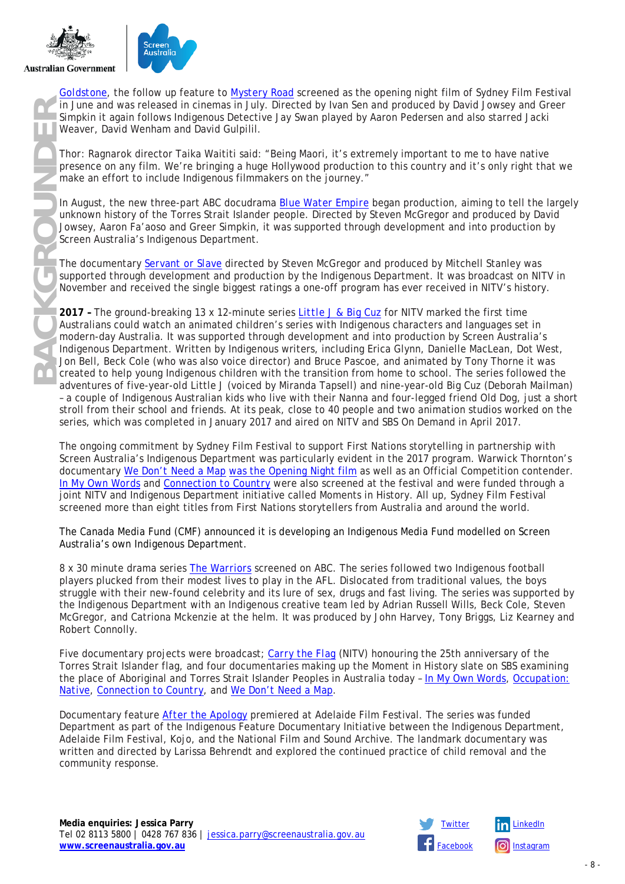



*[Goldstone](https://www.screenaustralia.gov.au/the-screen-guide/t/goldstone-2016/33586)*, the follow up feature to *[Mystery Road](https://www.screenaustralia.gov.au/the-screen-guide/t/mystery-road-2013/30409)* screened as the opening night film of Sydney Film Festival in June and was released in cinemas in July. Directed by Ivan Sen and produced by David Jowsey and Greer Simpkin it again follows Indigenous Detective Jay Swan played by Aaron Pedersen and also starred Jacki Weaver, David Wenham and David Gulpilil.

*Thor: Ragnarok* director Taika Waititi said: "Being Maori, it's extremely important to me to have native presence on any film. We're bringing a huge Hollywood production to this country and it's only right that we make an effort to include Indigenous filmmakers on the journey."

In August, the new three-part ABC docudrama *[Blue Water Empire](https://www.screenaustralia.gov.au/the-screen-guide/t/blue-water-empire-2017/32934)* began production, aiming to tell the largely unknown history of the Torres Strait Islander people. Directed by Steven McGregor and produced by David Jowsey, Aaron Fa'aoso and Greer Simpkin, it was supported through development and into production by Screen Australia's Indigenous Department.

The documentary *[Servant or Slave](https://www.screenaustralia.gov.au/the-screen-guide/t/servant-or-slave-2015/33088?stxt=servant%20or%20slave)* directed by Steven McGregor and produced by Mitchell Stanley was supported through development and production by the Indigenous Department. It was broadcast on NITV in November and received the single biggest ratings a one-off program has ever received in NITV's history.

**2017 –** The ground-breaking 13 x 12-minute series *[Little J & Big Cuz](https://www.screenaustralia.gov.au/the-screen-guide/t/little-j---big-cuz-series-1-2017/32929)* for NITV marked the first time Australians could watch an animated children's series with Indigenous characters and languages set in modern-day Australia. It was supported through development and into production by Screen Australia's Indigenous Department. Written by Indigenous writers, including Erica Glynn, Danielle MacLean, Dot West, Jon Bell, Beck Cole (who was also voice director) and Bruce Pascoe, and animated by Tony Thorne it was created to help young Indigenous children with the transition from home to school. The series followed the adventures of five-year-old Little J (voiced by Miranda Tapsell) and nine-year-old Big Cuz (Deborah Mailman) – a couple of Indigenous Australian kids who live with their Nanna and four-legged friend Old Dog, just a short stroll from their school and friends. At its peak, close to 40 people and two animation studios worked on the series, which was completed in January 2017 and aired on NITV and SBS On Demand in April 2017.

The ongoing commitment by Sydney Film Festival to support First Nations storytelling in partnership with Screen Australia's Indigenous Department was particularly evident in the 2017 program. Warwick Thornton's documentary *[We Don't Need a Map](https://www.screenaustralia.gov.au/the-screen-guide/t/we-dont-need-a-map-2018/35330)* [was the Opening Night film](https://www.screenaustralia.gov.au/sa/screen-news/2017/06-06-warwick-thornton-we-dont-need-a-map) as well as an Official Competition contender. *[In My Own Words](https://www.screenaustralia.gov.au/the-screen-guide/t/in-my-own-words-2017/34602)* and *[Connection to Country](https://www.screenaustralia.gov.au/the-screen-guide/t/connection-to-country-2017/35332)* were also screened at the festival and were funded through a joint NITV and Indigenous Department initiative called Moments in History. All up, Sydney Film Festival screened more than eight titles from First Nations storytellers from Australia and around the world.

The Canada Media Fund (CMF) announced it is developing an Indigenous Media Fund modelled on Screen Australia's own Indigenous Department.

8 x 30 minute drama series *[The Warriors](https://www.screenaustralia.gov.au/the-screen-guide/t/the-warriors-2017/30436)* screened on ABC. The series followed two Indigenous football players plucked from their modest lives to play in the AFL. Dislocated from traditional values, the boys struggle with their new-found celebrity and its lure of sex, drugs and fast living. The series was supported by the Indigenous Department with an Indigenous creative team led by Adrian Russell Wills, Beck Cole, Steven McGregor, and Catriona Mckenzie at the helm. It was produced by John Harvey, Tony Briggs, Liz Kearney and Robert Connolly.

Five documentary projects were broadcast; *[Carry the Flag](https://www.screenaustralia.gov.au/the-screen-guide/t/carry-the-flag-2017/35287)* (NITV) honouring the 25th anniversary of the Torres Strait Islander flag, and four documentaries making up the Moment in History slate on SBS examining the place of Aboriginal and Torres Strait Islander Peoples in Australia today – *[In My Own Words](https://www.screenaustralia.gov.au/the-screen-guide/t/in-my-own-words-2017/34602)*, *[Occupation:](https://www.screenaustralia.gov.au/the-screen-guide/t/occupation--native-2017/35333)  [Native](https://www.screenaustralia.gov.au/the-screen-guide/t/occupation--native-2017/35333)*, *[Connection to Country](https://www.screenaustralia.gov.au/the-screen-guide/t/connection-to-country-2017/35332)*, and *[We Don't Need a Map](https://www.screenaustralia.gov.au/the-screen-guide/t/we-dont-need-a-map-2018/35330)*.

Documentary feature *[After the Apolog](https://www.screenaustralia.gov.au/the-screen-guide/t/after-the-apology-2017/34665?stxt=after%20the%20apology)*y premiered at Adelaide Film Festival. The series was funded Department as part of the Indigenous Feature Documentary Initiative between the Indigenous Department, Adelaide Film Festival, Kojo, and the National Film and Sound Archive. The landmark documentary was written and directed by Larissa Behrendt and explored the continued practice of child removal and the community response.

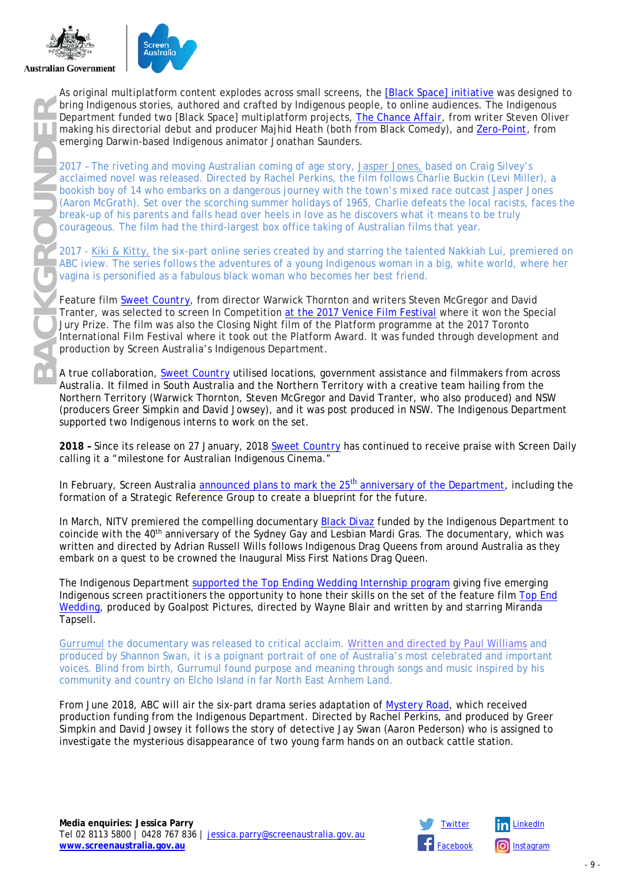



**BACKGROUNDER** As original multiplatform content explodes across small screens, the [\[Black Space\] initiative](https://www.screenaustralia.gov.au/funding-and-support/indigenous/sector-development/special-initiatives/black-space-web-series-production) was designed to bring Indigenous stories, authored and crafted by Indigenous people, to online audiences. The Indigenous Department funded two [Black Space] multiplatform projects, *[The Chance Affair](https://www.screenaustralia.gov.au/the-screen-guide/t/the-chance-affair-2017/36312)*, from writer Steven Oliver making his directorial debut and producer Majhid Heath (both from *Black Comedy*), and *[Zero-Point](https://www.screenaustralia.gov.au/the-screen-guide/t/zero-point-2018/36314)*, from emerging Darwin-based Indigenous animator Jonathan Saunders.

2017 – The riveting and moving Australian coming of age story, *[Jasper Jones,](https://www.screenaustralia.gov.au/the-screen-guide/t/jasper-jones-2017/31448)* based on Craig Silvey's acclaimed novel was released. Directed by Rachel Perkins, the film follows Charlie Buckin (Levi Miller), a bookish boy of 14 who embarks on a dangerous journey with the town's mixed race outcast Jasper Jones (Aaron McGrath). Set over the scorching summer holidays of 1965, Charlie defeats the local racists, faces the break-up of his parents and falls head over heels in love as he discovers what it means to be truly courageous. The film had the third-largest box office taking of Australian films that year.

2017 - *[Kiki & Kitty,](https://www.screenaustralia.gov.au/the-screen-guide/t/kiki-and-kitty-2017/35843)* the six-part online series created by and starring the talented Nakkiah Lui, premiered on ABC iview. The series follows the adventures of a young Indigenous woman in a big, white world, where her vagina is personified as a fabulous black woman who becomes her best friend.

Feature film *[Sweet Country](https://www.screenaustralia.gov.au/the-screen-guide/t/sweet-country-2018/32482)*, from director Warwick Thornton and writers Steven McGregor and David Tranter, was selected to screen In Competition [at the 2017 Venice Film Festival](mailto:https://www.screenaustralia.gov.au/sa/screen-news/2017/09-07-australia-at-venice-2017) where it won the Special Jury Prize. The film was also the Closing Night film of the Platform programme at the 2017 Toronto International Film Festival where it took out the Platform Award. It was funded through development and production by Screen Australia's Indigenous Department.

A true collaboration, *[Sweet Country](https://www.screenaustralia.gov.au/the-screen-guide/t/sweet-country-2018/32482)* utilised locations, government assistance and filmmakers from across Australia. It filmed in South Australia and the Northern Territory with a creative team hailing from the Northern Territory (Warwick Thornton, Steven McGregor and David Tranter, who also produced) and NSW (producers Greer Simpkin and David Jowsey), and it was post produced in NSW. The Indigenous Department supported two Indigenous interns to work on the set.

**2018 –** Since its release on 27 January, 2018 *[Sweet Country](https://www.screenaustralia.gov.au/the-screen-guide/t/sweet-country-2018/32482)* has continued to receive praise with Screen Daily calling it a "milestone for Australian Indigenous Cinema."

In February, Screen Australia announced plans to mark the 25<sup>th</sup> [anniversary of the Department,](mailto:https://www.screenaustralia.gov.au/sa/media-centre/news/2018/02-28-25-years-of-indigenous-screen-stories) including the formation of a Strategic Reference Group to create a blueprint for the future.

In March, NITV premiered the compelling documentary *[Black Divaz](https://www.screenaustralia.gov.au/the-screen-guide/t/black-divaz-2018/36509?stxt=black%20divas)* funded by the Indigenous Department to coincide with the 40<sup>th</sup> anniversary of the Sydney Gay and Lesbian Mardi Gras. The documentary, which was written and directed by Adrian Russell Wills follows Indigenous Drag Queens from around Australia as they embark on a quest to be crowned the Inaugural Miss First Nations Drag Queen.

The Indigenous Department supported the *[Top Ending Wedding](https://www.screenaustralia.gov.au/sa/media-centre/news/2018/04-19-indigenous-interns-announced-top-end-wedding)* Internship program giving five emerging Indigenous screen practitioners the opportunity to hone their skills on the set of the feature film *[Top End](https://www.screenaustralia.gov.au/the-screen-guide/t/top-end-wedding-2018/36110)  [Wedding](https://www.screenaustralia.gov.au/the-screen-guide/t/top-end-wedding-2018/36110)*, produced by Goalpost Pictures, directed by Wayne Blair and written by and starring Miranda Tapsell.

*[Gurrumul](https://www.screenaustralia.gov.au/the-screen-guide/t/gurrumul-2018/34772)* the documentary was released to critical acclaim. [Written and directed by Paul Williams](mailto:https://www.screenaustralia.gov.au/sa/screen-news/2018/04-19-gurrumul-meet-the-filmmaker) and produced by Shannon Swan, it is a poignant portrait of one of Australia's most celebrated and important voices. Blind from birth, Gurrumul found purpose and meaning through songs and music inspired by his community and country on Elcho Island in far North East Arnhem Land.

From June 2018, ABC will air the six-part drama series adaptation of *[Mystery Road,](https://www.screenaustralia.gov.au/the-screen-guide/t/mystery-road-tv-series-2018/36207)* which received production funding from the Indigenous Department. Directed by Rachel Perkins, and produced by Greer Simpkin and David Jowsey it follows the story of detective Jay Swan (Aaron Pederson) who is assigned to investigate the mysterious disappearance of two young farm hands on an outback cattle station.

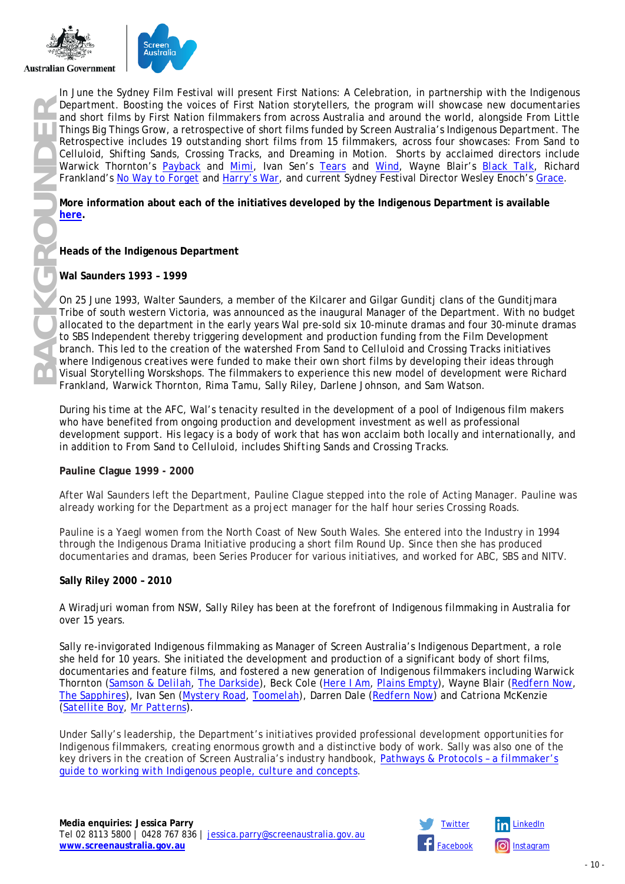

In June the Sydney Film Festival will present First Nations: A Celebration, in partnership with the Indigenous Department. Boosting the voices of First Nation storytellers, the program will showcase new documentaries and short films by First Nation filmmakers from across Australia and around the world, alongside From Little Things Big Things Grow, a retrospective of short films funded by Screen Australia's Indigenous Department. The Retrospective includes 19 outstanding short films from 15 filmmakers, across four showcases: From Sand to Celluloid, Shifting Sands, Crossing Tracks, and Dreaming in Motion. Shorts by acclaimed directors include Warwick Thornton's *[Payback](https://www.screenaustralia.gov.au/the-screen-guide/t/payback-1996/9338)* and *[Mimi](https://www.screenaustralia.gov.au/the-screen-guide/t/mimi-2002/17129)*, Ivan Sen's *[Tears](https://www.screenaustralia.gov.au/the-screen-guide/t/tears-1998/12530)* and *[Wind](https://www.screenaustralia.gov.au/the-screen-guide/t/wind-1999/12501)*, Wayne Blair's *[Black Talk,](https://www.screenaustralia.gov.au/the-screen-guide/t/black-talk-2002/17108)* Richard Frankland's *[No Way to Forget](https://www.screenaustralia.gov.au/the-screen-guide/t/no-way-to-forget-1996/9352)* and *[Harry's War](https://www.screenaustralia.gov.au/the-screen-guide/t/harrys-war-1999/12495)*, and current Sydney Festival Director Wesley Enoch's *[Grace](https://www.screenaustralia.gov.au/the-screen-guide/t/grace-1998/12563)*.

**More information about each of the initiatives developed by the Indigenous Department is available** 

#### **Heads of the Indigenous Department**

#### **Wal Saunders 1993 – 1999**

On 25 June 1993, Walter Saunders, a member of the Kilcarer and Gilgar Gunditj clans of the Gunditjmara Tribe of south western Victoria, was announced as the inaugural Manager of the Department. With no budget allocated to the department in the early years Wal pre-sold six 10-minute dramas and four 30-minute dramas to SBS Independent thereby triggering development and production funding from the Film Development branch. This led to the creation of the watershed *From Sand to Celluloid* and *Crossing Tracks* initiatives where Indigenous creatives were funded to make their own short films by developing their ideas through Visual Storytelling Worskshops. The filmmakers to experience this new model of development were Richard Frankland, Warwick Thornton, Rima Tamu, Sally Riley, Darlene Johnson, and Sam Watson.

During his time at the AFC, Wal's tenacity resulted in the development of a pool of Indigenous film makers who have benefited from ongoing production and development investment as well as professional development support. His legacy is a body of work that has won acclaim both locally and internationally, and in addition to *From Sand to Celluloid*, includes *Shifting Sands* and *Crossing Tracks*.

#### **Pauline Clague 1999 - 2000**

After Wal Saunders left the Department, Pauline Clague stepped into the role of Acting Manager. Pauline was already working for the Department as a project manager for the half hour series *Crossing Roads*.

Pauline is a Yaegl women from the North Coast of New South Wales. She entered into the Industry in 1994 through the Indigenous Drama Initiative producing a short film *Round Up*. Since then she has produced documentaries and dramas, been Series Producer for various initiatives, and worked for ABC, SBS and NITV.

#### **Sally Riley 2000 – 2010**

A Wiradjuri woman from NSW, Sally Riley has been at the forefront of Indigenous filmmaking in Australia for over 15 years.

Sally re-invigorated Indigenous filmmaking as Manager of Screen Australia's Indigenous Department, a role she held for 10 years. She initiated the development and production of a significant body of short films, documentaries and feature films, and fostered a new generation of Indigenous filmmakers including Warwick Thornton (*[Samson & Delilah](https://www.screenaustralia.gov.au/the-screen-guide/t/samson---delilah-2009/20947)*, *[The Darkside](https://www.screenaustralia.gov.au/the-screen-guide/t/the-darkside-2013/31797)*), Beck Cole (*[Here I Am](https://www.screenaustralia.gov.au/the-screen-guide/t/here-i-am-2011/20955)*, *[Plains Empty](https://www.screenaustralia.gov.au/the-screen-guide/t/plains-empty-2004/19186)*), Wayne Blair (*[Redfern Now](https://www.screenaustralia.gov.au/the-screen-guide/t/redfern-now-2014/31265)*, *[The Sapphires](https://www.screenaustralia.gov.au/the-screen-guide/t/the-sapphires-2012/21553)*), Ivan Sen (*[Mystery Road](https://www.screenaustralia.gov.au/the-screen-guide/t/mystery-road-2013/30409)*, *[Toomelah](https://www.screenaustralia.gov.au/the-screen-guide/t/toomelah-2011/28391)*), Darren Dale (*[Redfern Now](https://www.screenaustralia.gov.au/the-screen-guide/t/redfern-now-2014/31265)*) and Catriona McKenzie (*[Satellite Boy](https://www.screenaustralia.gov.au/the-screen-guide/t/satellite-boy-2013/11423)*, *[Mr Patterns](https://www.screenaustralia.gov.au/the-screen-guide/t/mr-patterns-2004/18902)*).

Under Sally's leadership, the Department's initiatives provided professional development opportunities for Indigenous filmmakers, creating enormous growth and a distinctive body of work. Sally was also one of the key drivers in the creation of Screen Australia's industry handbook, *[Pathways & Protocols –](https://www.screenaustralia.gov.au/about-us/doing-business-with-us/indigenous-content/indigenous-protocols) a filmmaker's [guide to working with Indigenous people](https://www.screenaustralia.gov.au/about-us/doing-business-with-us/indigenous-content/indigenous-protocols)*, *culture and concepts*.